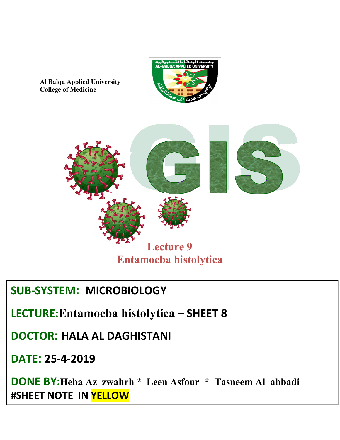

**Al Balqa Applied University College of Medicine**



## **SUB-SYSTEM MICROBIOLOGY**

**LECTURE:Entamoeba histolytica – SHEET 8**

**DOCTOR HALA AL DAGHISTANI**

**DATE 25-4-2019**

**DONE BY:Heba Az\_zwahrh \* Leen Asfour \* Tasneem Al\_abbadi #SHEET NOTE IN YELLOW**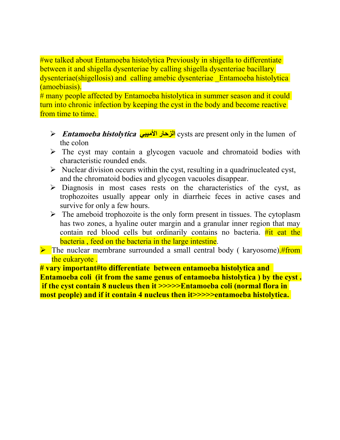#we talked about Entamoeba histolytica Previously in shigella to differentiate between it and shigella dysenteriae by calling shigella dysenteriae bacillary dysenteriae(shigellosis) and calling amebic dysenteriae \_Entamoeba histolytica (amoebiasis).

# many people affected by Entamoeba histolytica in summer season and it could turn into chronic infection by keeping the cyst in the body and become reactive from time to time.

- $▶$  **Entamoeba histolytica الزحار الأميبي** cysts are present only in the lumen of the colon
- $\triangleright$  The cyst may contain a glycogen vacuole and chromatoid bodies with characteristic rounded ends.
- $\triangleright$  Nuclear division occurs within the cyst, resulting in a quadrinucleated cyst, and the chromatoid bodies and glycogen vacuoles disappear.
- $\triangleright$  Diagnosis in most cases rests on the characteristics of the cyst, as trophozoites usually appear only in diarrheic feces in active cases and survive for only a few hours.
- $\triangleright$  The ameboid trophozoite is the only form present in tissues. The cytoplasm has two zones, a hyaline outer margin and a granular inner region that may contain red blood cells but ordinarily contains no bacteria.  $\#$ it eat the bacteria , feed on the bacteria in the large intestine.
- $\triangleright$  The nuclear membrane surrounded a small central body ( karyosome). #from the eukaryote .

**# vary important#to differentiate between entamoeba histolytica and Entamoeba coli (itfrom the same genus ofentamoeba histolytica ) by the cyst . if the cyst contain 8 nucleus then it >>>>>Entamoeba coli (normal flora in most people) and if it contain 4 nucleus then it>>>>>entamoeba histolytica.**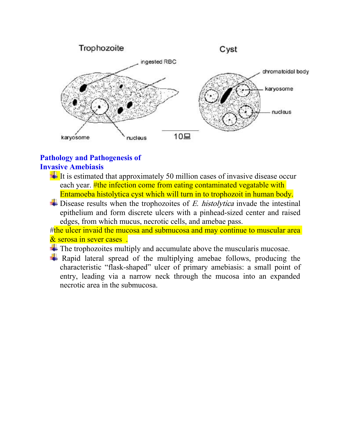

## **Pathology and Pathogenesis of Invasive Amebiasis**

- $\pm$  It is estimated that approximately 50 million cases of invasive disease occur each year. **#the infection come from eating contaminated vegatable with** Entamoeba histolytica cyst which will turn in to trophozoit in human body.
- $\blacktriangleright$  Disease results when the trophozoites of E. histolytica invade the intestinal epithelium and form discrete ulcers with a pinhead-sized center and raised edges, from which mucus, necrotic cells, and amebae pass.

#the ulcer invaid the mucosa and submucosa and may continue to muscular area & serosa in sever cases .

- $\ddot{\bullet}$  The trophozoites multiply and accumulate above the muscularis mucosae.
- $\overline{\phantom{a}}$  Rapid lateral spread of the multiplying amebae follows, producing the characteristic "flask-shaped" ulcer of primary amebiasis: a small point of entry, leading via a narrow neck through the mucosa into an expanded necrotic area in the submucosa.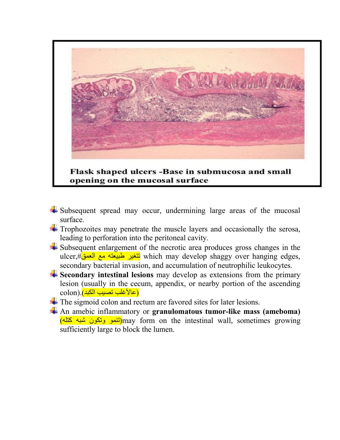

opening on the mucosal surface

- $\frac{1}{2}$  Subsequent spread may occur, undermining large areas of the mucosal surface.
- $\pm$  Trophozoites may penetrate the muscle layers and occasionally the serosa, leading to perforation into the peritoneal cavity.
- $\overline{\phantom{a}}$  Subsequent enlargement of the necrotic area produces gross changes in the ulcer,#نتغير طبيعته مع العمق which may develop shaggy over hanging edges, secondary bacterial invasion, and accumulation of neutrophilic leukocytes.
- **Secondary intestinal lesions** may develop as extensions from the primary lesion (usually in the cecum, appendix, or nearby portion of the ascending colon). (عالأغلب تصيب الكبد)
- The sigmoid colon and rectum are favored sites for later lesions.
- An amebic inflammatory or **granulomatous tumor-like mass (ameboma)** (تنمو وتكون شبه كتله) may form on the intestinal wall, sometimes growing sufficiently large to block the lumen.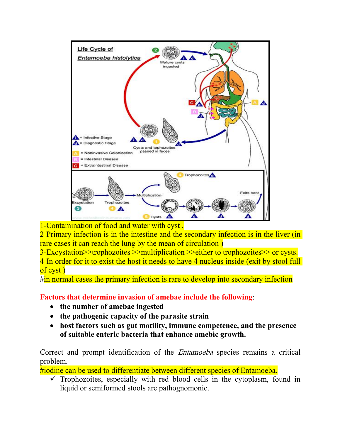

1-Contamination of food and water with cyst .<br>2-Primary infection is in the intestine and the secondary infection is in the liver (in rare cases it can reach the lung by the mean of circulation )

-Excystation>>trophozoites >>multiplication >>either to trophozoites>> or cysts. 4-In order for it to exist the host it needs to have 4 nucleus inside (exit by stool full of cyst )

#in normal cases the primary infection is rare to develop into secondary infection

**Factors that determine invasion of amebae include the following**:

- **the number of amebae ingested**
- **the pathogenic capacity of the parasite strain**
- **host factors such as gut motility, immune competence, and the presence of suitable enteric bacteria that enhance amebic growth.**

Correct and prompt identification of the Entamoeba species remains a critical problem.

#iodine can be used to differentiate between different species of Entamoeba.

 $\checkmark$  Trophozoites, especially with red blood cells in the cytoplasm, found in liquid or semiformed stools are pathognomonic.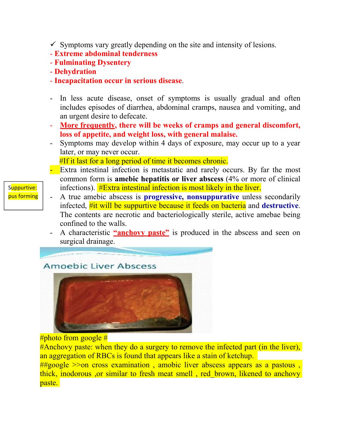- $\checkmark$  Symptoms vary greatly depending on the site and intensity of lesions.
- **Extreme abdominal tenderness**
- **Fulminating Dysentery**
- **Dehydration**
- **Incapacitation occur in serious disease**.
- In less acute disease, onset of symptoms is usually gradual and often includes episodes of diarrhea, abdominal cramps, nausea and vomiting, and an urgent desire to defecate.
- **More frequently, there will be weeks of cramps and general discomfort, loss ofappetite, and weight loss, with general malaise.**
- Symptoms may develop within 4 days of exposure, may occur up to a year later, or may never occur. #If it last for a long period of time it becomes chronic.
- Extra intestinal infection is metastatic and rarely occurs. By far the most common form is **amebic** hepatitis or liver abscess (4% or more of clinical infections).  $#Extra$  intestinal infection is most likely in the liver.
- A true amebic abscess is **progressive, nonsuppurative** unless secondarily infected, #it will be suppurtive because it feeds on bacteria and **destructive**. The contents are necrotic and bacteriologically sterile, active amebae being confined to the walls.
- A characteristic **"anchovy paste"** is produced in the abscess and seen on surgical drainage.





#Anchovy paste: when they do a surgery to remove the infected part (in the liver), an aggregation of RBCs is found that appears like a stain of ketchup.<br>##google >>on cross examination , amobic liver abscess appears as a pastous , thick, inodorous ,or similar to fresh meat smell , red\_brown, likened to anchovy paste.

Suppurtive: pus forming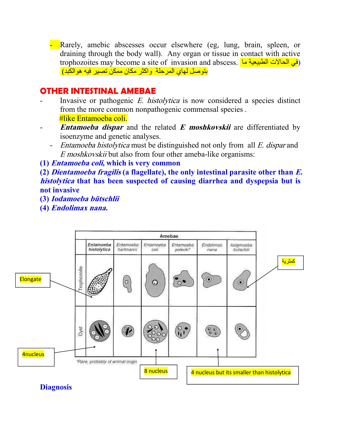- Rarely, amebic abscesses occur elsewhere (eg, lung, brain, spleen, or draining through the body wall). Any organ or tissue in contact with active trophozoites may become a site of invasion and abscess. (في الحالات الطبيعية ما بتوصل لهاي المرحلة واكثر مكان ممكن تصير فيه هو الكبد)

## **OTHER INTESTINAL AMEBAE**

- Invasive or pathogenic  $E$ . *histolytica* is now considered a species distinct from the more common nonpathogenic commensal species . #like Entamoeba coli.
- **Entamoeba dispar** and the related **E** moshkovskii are differentiated by isoenzyme and genetic analyses.
	- Entamoeba histolytica must be distinguished not only from all E. dispar and <sup>E</sup> moshkovskii but also from four other ameba-like organisms:
- **(1) Entamoeba coli, which is very common**

**(2) Dientamoeba fragilis (a flagellate),the only intestinalparasite other than E. histolytica that has been suspected of causing diarrhea and dyspepsia but is not invasive**

- **(3) Iodamoeba bütschlii**
- **(4) Endolimax nana.**